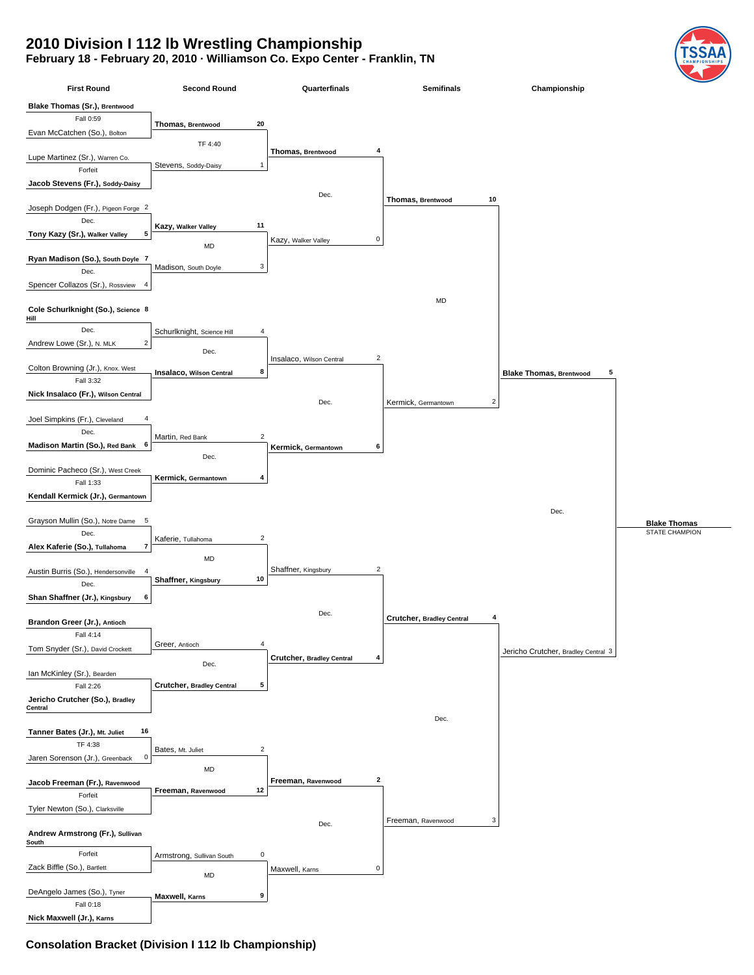## **2010 Division I 112 lb Wrestling Championship**

## **February 18 - February 20, 2010 · Williamson Co. Expo Center - Franklin, TN**

| <b>First Round</b>                                   | <b>Second Round</b>                    | Quarterfinals                              | <b>Semifinals</b>                     | Championship                        |                     |
|------------------------------------------------------|----------------------------------------|--------------------------------------------|---------------------------------------|-------------------------------------|---------------------|
| <b>Blake Thomas (Sr.), Brentwood</b>                 |                                        |                                            |                                       |                                     |                     |
| Fall 0:59                                            |                                        |                                            |                                       |                                     |                     |
|                                                      | 20<br>Thomas, Brentwood                |                                            |                                       |                                     |                     |
| Evan McCatchen (So.), Bolton                         | TF 4:40                                |                                            |                                       |                                     |                     |
| Lupe Martinez (Sr.), Warren Co.                      |                                        | Thomas, Brentwood<br>4                     |                                       |                                     |                     |
| Forfeit                                              | 1<br>Stevens, Soddy-Daisy              |                                            |                                       |                                     |                     |
| Jacob Stevens (Fr.), Soddy-Daisy                     |                                        |                                            |                                       |                                     |                     |
|                                                      |                                        | Dec.                                       |                                       |                                     |                     |
| Joseph Dodgen (Fr.), Pigeon Forge 2                  |                                        |                                            | 10<br>Thomas, Brentwood               |                                     |                     |
| Dec.                                                 |                                        |                                            |                                       |                                     |                     |
| Tony Kazy (Sr.), Walker Valley<br>5                  | 11<br>Kazy, Walker Valley              |                                            |                                       |                                     |                     |
|                                                      | MD                                     | 0<br>Kazy, Walker Valley                   |                                       |                                     |                     |
| Ryan Madison (So.), South Doyle 7                    |                                        |                                            |                                       |                                     |                     |
| Dec.                                                 | 3<br>Madison, South Doyle              |                                            |                                       |                                     |                     |
| Spencer Collazos (Sr.), Rossview<br>4                |                                        |                                            |                                       |                                     |                     |
|                                                      |                                        |                                            | MD                                    |                                     |                     |
| Cole Schurlknight (So.), Science 8                   |                                        |                                            |                                       |                                     |                     |
| Hill                                                 |                                        |                                            |                                       |                                     |                     |
| Dec.                                                 | Schurlknight, Science Hill<br>4        |                                            |                                       |                                     |                     |
| $\overline{\mathbf{c}}$<br>Andrew Lowe (Sr.), N. MLK | Dec.                                   |                                            |                                       |                                     |                     |
|                                                      |                                        | $\overline{c}$<br>Insalaco, Wilson Central |                                       |                                     |                     |
| Colton Browning (Jr.), Knox. West<br>Fall 3:32       | 8<br>Insalaco, Wilson Central          |                                            |                                       | <b>Blake Thomas, Brentwood</b><br>5 |                     |
| Nick Insalaco (Fr.), Wilson Central                  |                                        |                                            |                                       |                                     |                     |
|                                                      |                                        | Dec.                                       | $\overline{2}$<br>Kermick, Germantown |                                     |                     |
| Joel Simpkins (Fr.), Cleveland                       |                                        |                                            |                                       |                                     |                     |
| Dec.                                                 |                                        |                                            |                                       |                                     |                     |
| Madison Martin (So.), Red Bank 6                     | $\sqrt{2}$<br>Martin, Red Bank         | 6                                          |                                       |                                     |                     |
|                                                      | Dec.                                   | Kermick, Germantown                        |                                       |                                     |                     |
| Dominic Pacheco (Sr.), West Creek                    |                                        |                                            |                                       |                                     |                     |
| Fall 1:33                                            | Kermick, Germantown<br>4               |                                            |                                       |                                     |                     |
| Kendall Kermick (Jr.), Germantown                    |                                        |                                            |                                       |                                     |                     |
|                                                      |                                        |                                            |                                       | Dec.                                |                     |
| Grayson Mullin (So.), Notre Dame 5                   |                                        |                                            |                                       |                                     | <b>Blake Thomas</b> |
| Dec.                                                 | $\overline{2}$<br>Kaferie, Tullahoma   |                                            |                                       |                                     | STATE CHAMPION      |
| 7<br>Alex Kaferie (So.), Tullahoma                   |                                        |                                            |                                       |                                     |                     |
|                                                      | MD                                     |                                            |                                       |                                     |                     |
| Austin Burris (So.), Hendersonville 4                | 10                                     | $\overline{2}$<br>Shaffner, Kingsbury      |                                       |                                     |                     |
| Dec.                                                 | Shaffner, Kingsbury                    |                                            |                                       |                                     |                     |
| Shan Shaffner (Jr.), Kingsbury<br>6                  |                                        |                                            |                                       |                                     |                     |
|                                                      |                                        | Dec.                                       | 4<br>Crutcher, Bradley Central        |                                     |                     |
| Brandon Greer (Jr.), Antioch                         |                                        |                                            |                                       |                                     |                     |
| Fall 4:14                                            | 4<br>Greer, Antioch                    |                                            |                                       |                                     |                     |
| Tom Snyder (Sr.), David Crockett                     |                                        | Crutcher, Bradley Central<br>4             |                                       | Jericho Crutcher, Bradley Central 3 |                     |
|                                                      | Dec.                                   |                                            |                                       |                                     |                     |
| Ian McKinley (Sr.), Bearden<br>Fall 2:26             | 5<br><b>Crutcher, Bradley Central</b>  |                                            |                                       |                                     |                     |
| Jericho Crutcher (So.), Bradley                      |                                        |                                            |                                       |                                     |                     |
| Central                                              |                                        |                                            |                                       |                                     |                     |
|                                                      |                                        |                                            | Dec.                                  |                                     |                     |
| Tanner Bates (Jr.), Mt. Juliet<br>16                 |                                        |                                            |                                       |                                     |                     |
| TF 4:38                                              | $\overline{2}$<br>Bates, Mt. Juliet    |                                            |                                       |                                     |                     |
| 0<br>Jaren Sorenson (Jr.), Greenback                 |                                        |                                            |                                       |                                     |                     |
|                                                      | MD                                     |                                            |                                       |                                     |                     |
| Jacob Freeman (Fr.), Ravenwood                       | 12<br>Freeman, Ravenwood               | $\mathbf{2}$<br>Freeman, Ravenwood         |                                       |                                     |                     |
| Forfeit                                              |                                        |                                            |                                       |                                     |                     |
| Tyler Newton (So.), Clarksville                      |                                        |                                            |                                       |                                     |                     |
|                                                      |                                        | Dec.                                       | 3<br>Freeman, Ravenwood               |                                     |                     |
| Andrew Armstrong (Fr.), Sullivan<br>South            |                                        |                                            |                                       |                                     |                     |
| Forfeit                                              | $\pmb{0}$<br>Armstrong, Sullivan South |                                            |                                       |                                     |                     |
| Zack Biffle (So.), Bartlett                          |                                        | $\pmb{0}$<br>Maxwell, Karns                |                                       |                                     |                     |
|                                                      | MD                                     |                                            |                                       |                                     |                     |
| DeAngelo James (So.), Tyner                          | Maxwell, Karns<br>9                    |                                            |                                       |                                     |                     |
| Fall 0:18                                            |                                        |                                            |                                       |                                     |                     |
| Nick Maxwell (Jr.), Karns                            |                                        |                                            |                                       |                                     |                     |

## **Consolation Bracket (Division I 112 lb Championship)**